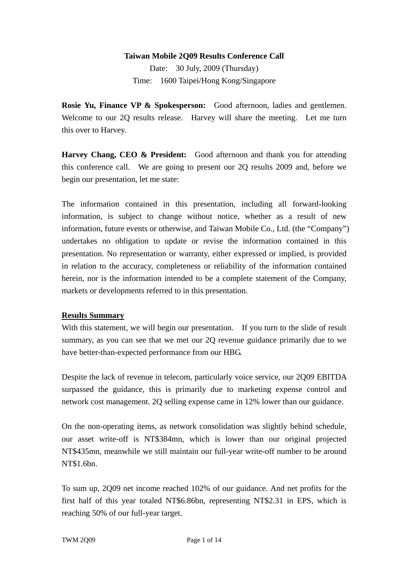#### **Taiwan Mobile 2Q09 Results Conference Call**

Date: 30 July, 2009 (Thursday) Time: 1600 Taipei/Hong Kong/Singapore

**Rosie Yu, Finance VP & Spokesperson:** Good afternoon, ladies and gentlemen. Welcome to our 2Q results release. Harvey will share the meeting. Let me turn this over to Harvey.

**Harvey Chang, CEO & President:** Good afternoon and thank you for attending this conference call. We are going to present our 2Q results 2009 and, before we begin our presentation, let me state:

The information contained in this presentation, including all forward-looking information, is subject to change without notice, whether as a result of new information, future events or otherwise, and Taiwan Mobile Co., Ltd. (the "Company") undertakes no obligation to update or revise the information contained in this presentation. No representation or warranty, either expressed or implied, is provided in relation to the accuracy, completeness or reliability of the information contained herein, nor is the information intended to be a complete statement of the Company, markets or developments referred to in this presentation.

#### **Results Summary**

With this statement, we will begin our presentation. If you turn to the slide of result summary, as you can see that we met our 2Q revenue guidance primarily due to we have better-than-expected performance from our HBG.

Despite the lack of revenue in telecom, particularly voice service, our 2Q09 EBITDA surpassed the guidance, this is primarily due to marketing expense control and network cost management. 2Q selling expense came in 12% lower than our guidance.

On the non-operating items, as network consolidation was slightly behind schedule, our asset write-off is NT\$384mn, which is lower than our original projected NT\$435mn, meanwhile we still maintain our full-year write-off number to be around NT\$1.6bn.

To sum up, 2Q09 net income reached 102% of our guidance. And net profits for the first half of this year totaled NT\$6.86bn, representing NT\$2.31 in EPS, which is reaching 50% of our full-year target.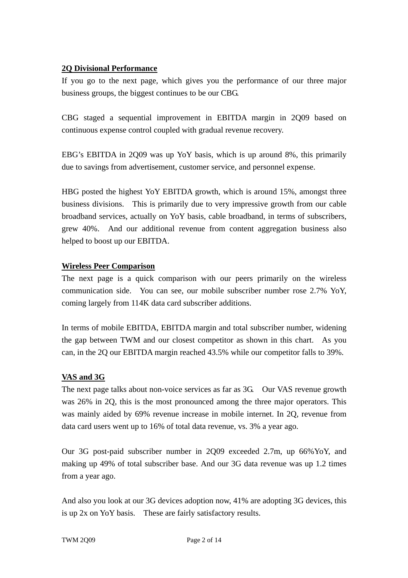#### **2Q Divisional Performance**

If you go to the next page, which gives you the performance of our three major business groups, the biggest continues to be our CBG.

CBG staged a sequential improvement in EBITDA margin in 2Q09 based on continuous expense control coupled with gradual revenue recovery.

EBG's EBITDA in 2Q09 was up YoY basis, which is up around 8%, this primarily due to savings from advertisement, customer service, and personnel expense.

HBG posted the highest YoY EBITDA growth, which is around 15%, amongst three business divisions. This is primarily due to very impressive growth from our cable broadband services, actually on YoY basis, cable broadband, in terms of subscribers, grew 40%. And our additional revenue from content aggregation business also helped to boost up our EBITDA.

#### **Wireless Peer Comparison**

The next page is a quick comparison with our peers primarily on the wireless communication side. You can see, our mobile subscriber number rose 2.7% YoY, coming largely from 114K data card subscriber additions.

In terms of mobile EBITDA, EBITDA margin and total subscriber number, widening the gap between TWM and our closest competitor as shown in this chart. As you can, in the 2Q our EBITDA margin reached 43.5% while our competitor falls to 39%.

#### **VAS and 3G**

The next page talks about non-voice services as far as 3G. Our VAS revenue growth was 26% in 2Q, this is the most pronounced among the three major operators. This was mainly aided by 69% revenue increase in mobile internet. In 2Q, revenue from data card users went up to 16% of total data revenue, vs. 3% a year ago.

Our 3G post-paid subscriber number in 2Q09 exceeded 2.7m, up 66%YoY, and making up 49% of total subscriber base. And our 3G data revenue was up 1.2 times from a year ago.

And also you look at our 3G devices adoption now, 41% are adopting 3G devices, this is up 2x on YoY basis. These are fairly satisfactory results.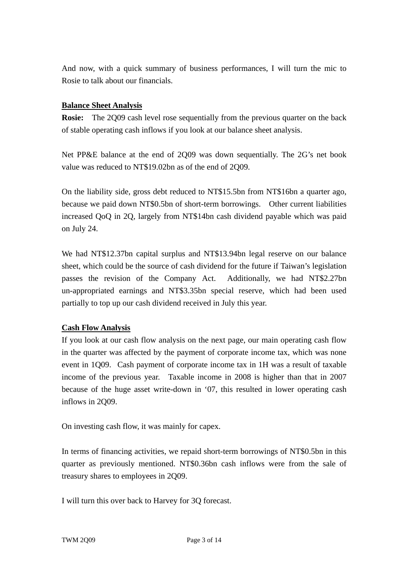And now, with a quick summary of business performances, I will turn the mic to Rosie to talk about our financials.

### **Balance Sheet Analysis**

**Rosie:** The 2Q09 cash level rose sequentially from the previous quarter on the back of stable operating cash inflows if you look at our balance sheet analysis.

Net PP&E balance at the end of 2Q09 was down sequentially. The 2G's net book value was reduced to NT\$19.02bn as of the end of 2Q09.

On the liability side, gross debt reduced to NT\$15.5bn from NT\$16bn a quarter ago, because we paid down NT\$0.5bn of short-term borrowings. Other current liabilities increased QoQ in 2Q, largely from NT\$14bn cash dividend payable which was paid on July 24.

We had NT\$12.37bn capital surplus and NT\$13.94bn legal reserve on our balance sheet, which could be the source of cash dividend for the future if Taiwan's legislation passes the revision of the Company Act. Additionally, we had NT\$2.27bn un-appropriated earnings and NT\$3.35bn special reserve, which had been used partially to top up our cash dividend received in July this year.

# **Cash Flow Analysis**

If you look at our cash flow analysis on the next page, our main operating cash flow in the quarter was affected by the payment of corporate income tax, which was none event in 1Q09. Cash payment of corporate income tax in 1H was a result of taxable income of the previous year. Taxable income in 2008 is higher than that in 2007 because of the huge asset write-down in '07, this resulted in lower operating cash inflows in 2Q09.

On investing cash flow, it was mainly for capex.

In terms of financing activities, we repaid short-term borrowings of NT\$0.5bn in this quarter as previously mentioned. NT\$0.36bn cash inflows were from the sale of treasury shares to employees in 2Q09.

I will turn this over back to Harvey for 3Q forecast.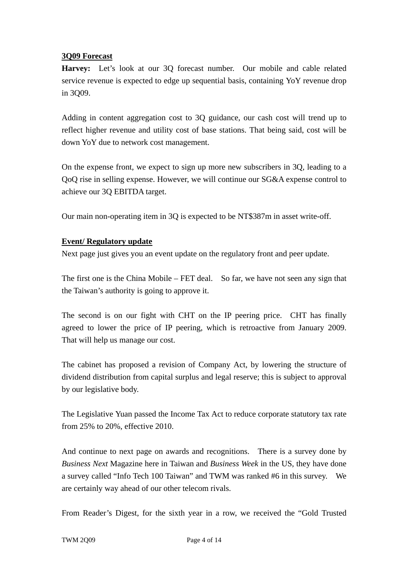#### **3Q09 Forecast**

**Harvey:** Let's look at our 3Q forecast number.Our mobile and cable related service revenue is expected to edge up sequential basis, containing YoY revenue drop in 3Q09.

Adding in content aggregation cost to 3Q guidance, our cash cost will trend up to reflect higher revenue and utility cost of base stations. That being said, cost will be down YoY due to network cost management.

On the expense front, we expect to sign up more new subscribers in 3Q, leading to a QoQ rise in selling expense. However, we will continue our SG&A expense control to achieve our 3Q EBITDA target.

Our main non-operating item in 3Q is expected to be NT\$387m in asset write-off.

#### **Event/ Regulatory update**

Next page just gives you an event update on the regulatory front and peer update.

The first one is the China Mobile – FET deal. So far, we have not seen any sign that the Taiwan's authority is going to approve it.

The second is on our fight with CHT on the IP peering price. CHT has finally agreed to lower the price of IP peering, which is retroactive from January 2009. That will help us manage our cost.

The cabinet has proposed a revision of Company Act, by lowering the structure of dividend distribution from capital surplus and legal reserve; this is subject to approval by our legislative body.

The Legislative Yuan passed the Income Tax Act to reduce corporate statutory tax rate from 25% to 20%, effective 2010.

And continue to next page on awards and recognitions. There is a survey done by *Business Next* Magazine here in Taiwan and *Business Week* in the US, they have done a survey called "Info Tech 100 Taiwan" and TWM was ranked #6 in this survey. We are certainly way ahead of our other telecom rivals.

From Reader's Digest, for the sixth year in a row, we received the "Gold Trusted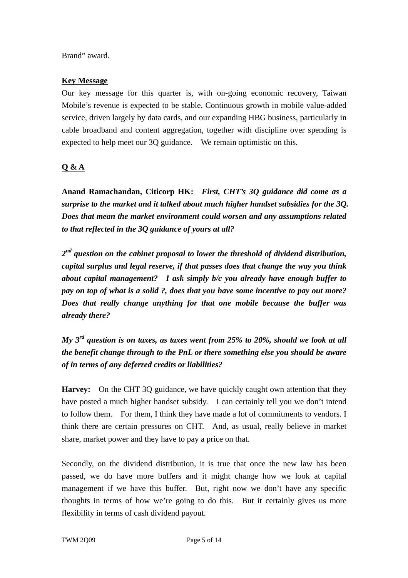Brand" award.

#### **Key Message**

Our key message for this quarter is, with on-going economic recovery, Taiwan Mobile's revenue is expected to be stable. Continuous growth in mobile value-added service, driven largely by data cards, and our expanding HBG business, particularly in cable broadband and content aggregation, together with discipline over spending is expected to help meet our 3Q guidance. We remain optimistic on this.

# **Q & A**

**Anand Ramachandan, Citicorp HK:** *First, CHT's 3Q guidance did come as a surprise to the market and it talked about much higher handset subsidies for the 3Q. Does that mean the market environment could worsen and any assumptions related to that reflected in the 3Q guidance of yours at all?*

*2nd question on the cabinet proposal to lower the threshold of dividend distribution, capital surplus and legal reserve, if that passes does that change the way you think about capital management? I ask simply b/c you already have enough buffer to pay on top of what is a solid ?, does that you have some incentive to pay out more? Does that really change anything for that one mobile because the buffer was already there?* 

*My 3rd question is on taxes, as taxes went from 25% to 20%, should we look at all the benefit change through to the PnL or there something else you should be aware of in terms of any deferred credits or liabilities?* 

**Harvey:** On the CHT 3Q guidance, we have quickly caught own attention that they have posted a much higher handset subsidy. I can certainly tell you we don't intend to follow them. For them, I think they have made a lot of commitments to vendors. I think there are certain pressures on CHT. And, as usual, really believe in market share, market power and they have to pay a price on that.

Secondly, on the dividend distribution, it is true that once the new law has been passed, we do have more buffers and it might change how we look at capital management if we have this buffer. But, right now we don't have any specific thoughts in terms of how we're going to do this. But it certainly gives us more flexibility in terms of cash dividend payout.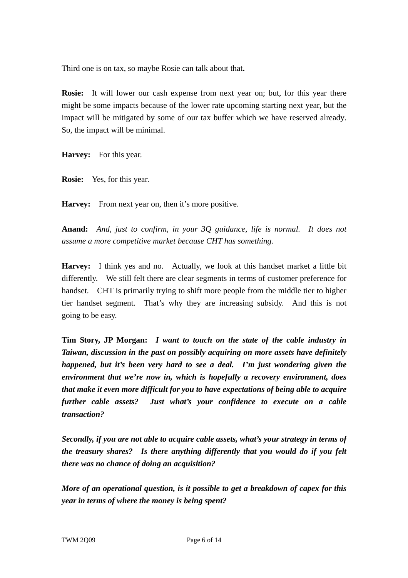Third one is on tax, so maybe Rosie can talk about that**.** 

**Rosie:** It will lower our cash expense from next year on; but, for this year there might be some impacts because of the lower rate upcoming starting next year, but the impact will be mitigated by some of our tax buffer which we have reserved already. So, the impact will be minimal.

**Harvey:** For this year.

**Rosie:** Yes, for this year.

**Harvey:** From next year on, then it's more positive.

**Anand:** *And, just to confirm, in your 3Q guidance, life is normal. It does not assume a more competitive market because CHT has something.*

**Harvey:** I think yes and no. Actually, we look at this handset market a little bit differently. We still felt there are clear segments in terms of customer preference for handset. CHT is primarily trying to shift more people from the middle tier to higher tier handset segment. That's why they are increasing subsidy. And this is not going to be easy.

**Tim Story, JP Morgan:** *I want to touch on the state of the cable industry in Taiwan, discussion in the past on possibly acquiring on more assets have definitely happened, but it's been very hard to see a deal. I'm just wondering given the environment that we're now in, which is hopefully a recovery environment, does that make it even more difficult for you to have expectations of being able to acquire further cable assets? Just what's your confidence to execute on a cable transaction?* 

*Secondly, if you are not able to acquire cable assets, what's your strategy in terms of the treasury shares? Is there anything differently that you would do if you felt there was no chance of doing an acquisition?* 

*More of an operational question, is it possible to get a breakdown of capex for this year in terms of where the money is being spent?*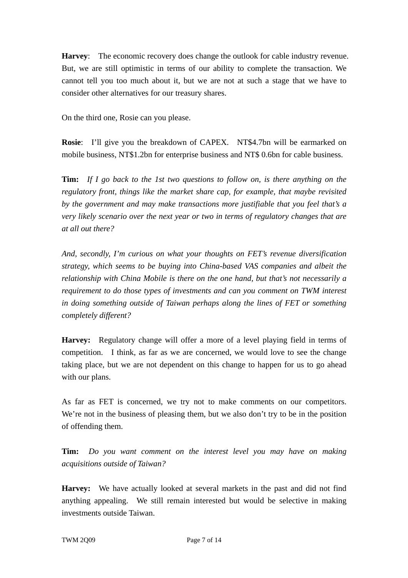**Harvey**: The economic recovery does change the outlook for cable industry revenue. But, we are still optimistic in terms of our ability to complete the transaction. We cannot tell you too much about it, but we are not at such a stage that we have to consider other alternatives for our treasury shares.

On the third one, Rosie can you please.

**Rosie**: I'll give you the breakdown of CAPEX. NT\$4.7bn will be earmarked on mobile business, NT\$1.2bn for enterprise business and NT\$ 0.6bn for cable business.

**Tim:** *If I go back to the 1st two questions to follow on, is there anything on the regulatory front, things like the market share cap, for example, that maybe revisited by the government and may make transactions more justifiable that you feel that's a very likely scenario over the next year or two in terms of regulatory changes that are at all out there?* 

*And, secondly, I'm curious on what your thoughts on FET's revenue diversification strategy, which seems to be buying into China-based VAS companies and albeit the relationship with China Mobile is there on the one hand, but that's not necessarily a requirement to do those types of investments and can you comment on TWM interest in doing something outside of Taiwan perhaps along the lines of FET or something completely different?* 

**Harvey:** Regulatory change will offer a more of a level playing field in terms of competition. I think, as far as we are concerned, we would love to see the change taking place, but we are not dependent on this change to happen for us to go ahead with our plans.

As far as FET is concerned, we try not to make comments on our competitors. We're not in the business of pleasing them, but we also don't try to be in the position of offending them.

**Tim:** *Do you want comment on the interest level you may have on making acquisitions outside of Taiwan?*

**Harvey:** We have actually looked at several markets in the past and did not find anything appealing. We still remain interested but would be selective in making investments outside Taiwan.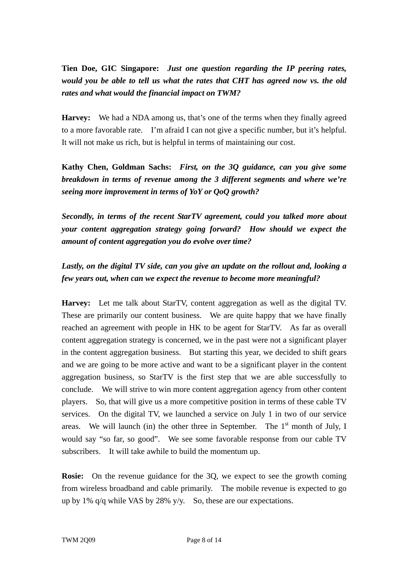**Tien Doe, GIC Singapore:** *Just one question regarding the IP peering rates, would you be able to tell us what the rates that CHT has agreed now vs. the old rates and what would the financial impact on TWM?*

**Harvey:** We had a NDA among us, that's one of the terms when they finally agreed to a more favorable rate. I'm afraid I can not give a specific number, but it's helpful. It will not make us rich, but is helpful in terms of maintaining our cost.

**Kathy Chen, Goldman Sachs:** *First, on the 3Q guidance, can you give some breakdown in terms of revenue among the 3 different segments and where we're seeing more improvement in terms of YoY or QoQ growth?* 

*Secondly, in terms of the recent StarTV agreement, could you talked more about your content aggregation strategy going forward? How should we expect the amount of content aggregation you do evolve over time?* 

# *Lastly, on the digital TV side, can you give an update on the rollout and, looking a few years out, when can we expect the revenue to become more meaningful?*

**Harvey:** Let me talk about StarTV, content aggregation as well as the digital TV. These are primarily our content business. We are quite happy that we have finally reached an agreement with people in HK to be agent for StarTV. As far as overall content aggregation strategy is concerned, we in the past were not a significant player in the content aggregation business. But starting this year, we decided to shift gears and we are going to be more active and want to be a significant player in the content aggregation business, so StarTV is the first step that we are able successfully to conclude. We will strive to win more content aggregation agency from other content players. So, that will give us a more competitive position in terms of these cable TV services. On the digital TV, we launched a service on July 1 in two of our service areas. We will launch (in) the other three in September. The  $1<sup>st</sup>$  month of July, I would say "so far, so good". We see some favorable response from our cable TV subscribers. It will take awhile to build the momentum up.

**Rosie:** On the revenue guidance for the 3Q, we expect to see the growth coming from wireless broadband and cable primarily. The mobile revenue is expected to go up by 1% q/q while VAS by 28% y/y. So, these are our expectations.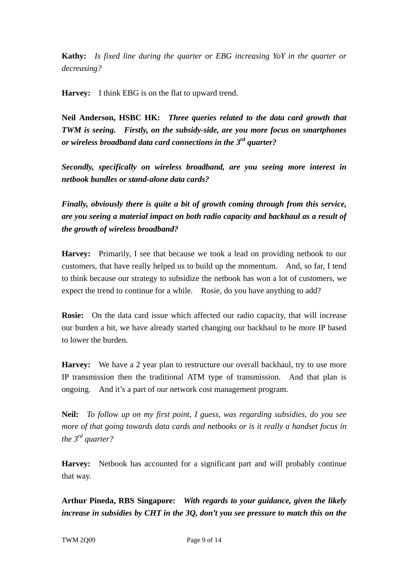**Kathy:** *Is fixed line during the quarter or EBG increasing YoY in the quarter or decreasing?*

**Harvey:** I think EBG is on the flat to upward trend.

**Neil Anderson, HSBC HK:** *Three queries related to the data card growth that TWM is seeing. Firstly, on the subsidy-side, are you more focus on smartphones or wireless broadband data card connections in the 3rd quarter?* 

*Secondly, specifically on wireless broadband, are you seeing more interest in netbook bundles or stand-alone data cards?* 

*Finally, obviously there is quite a bit of growth coming through from this service, are you seeing a material impact on both radio capacity and backhaul as a result of the growth of wireless broadband?* 

**Harvey:** Primarily, I see that because we took a lead on providing netbook to our customers, that have really helped us to build up the momentum. And, so far, I tend to think because our strategy to subsidize the netbook has won a lot of customers, we expect the trend to continue for a while. Rosie, do you have anything to add?

**Rosie:** On the data card issue which affected our radio capacity, that will increase our burden a bit, we have already started changing our backhaul to be more IP based to lower the burden.

**Harvey:** We have a 2 year plan to restructure our overall backhaul, try to use more IP transmission then the traditional ATM type of transmission. And that plan is ongoing. And it's a part of our network cost management program.

**Neil:** *To follow up on my first point, I guess, was regarding subsidies, do you see more of that going towards data cards and netbooks or is it really a handset focus in the 3rd quarter?*

**Harvey:** Netbook has accounted for a significant part and will probably continue that way.

**Arthur Pineda, RBS Singapore:** *With regards to your guidance, given the likely increase in subsidies by CHT in the 3Q, don't you see pressure to match this on the*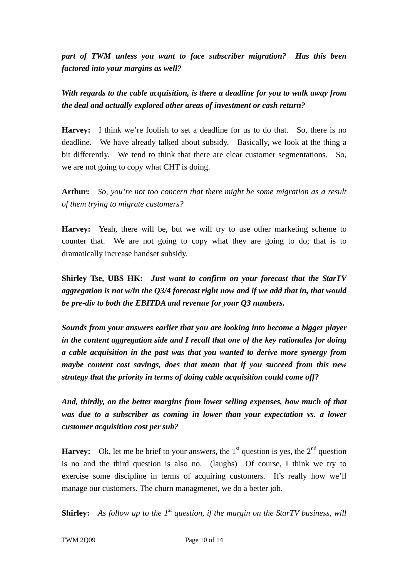*part of TWM unless you want to face subscriber migration? Has this been factored into your margins as well?* 

*With regards to the cable acquisition, is there a deadline for you to walk away from the deal and actually explored other areas of investment or cash return?* 

**Harvey:** I think we're foolish to set a deadline for us to do that. So, there is no deadline. We have already talked about subsidy. Basically, we look at the thing a bit differently. We tend to think that there are clear customer segmentations. So, we are not going to copy what CHT is doing.

**Arthur:** *So, you're not too concern that there might be some migration as a result of them trying to migrate customers?*

**Harvey:** Yeah, there will be, but we will try to use other marketing scheme to counter that. We are not going to copy what they are going to do; that is to dramatically increase handset subsidy.

**Shirley Tse, UBS HK:** *Just want to confirm on your forecast that the StarTV aggregation is not w/in the Q3/4 forecast right now and if we add that in, that would be pre-div to both the EBITDA and revenue for your Q3 numbers.* 

*Sounds from your answers earlier that you are looking into become a bigger player in the content aggregation side and I recall that one of the key rationales for doing a cable acquisition in the past was that you wanted to derive more synergy from maybe content cost savings, does that mean that if you succeed from this new strategy that the priority in terms of doing cable acquisition could come off?* 

*And, thirdly, on the better margins from lower selling expenses, how much of that was due to a subscriber as coming in lower than your expectation vs. a lower customer acquisition cost per sub?* 

**Harvey:** Ok, let me be brief to your answers, the  $1<sup>st</sup>$  question is yes, the  $2<sup>nd</sup>$  question is no and the third question is also no. (laughs) Of course, I think we try to exercise some discipline in terms of acquiring customers. It's really how we'll manage our customers. The churn managmenet, we do a better job.

**Shirley:** *As follow up to the 1st question, if the margin on the StarTV business, will*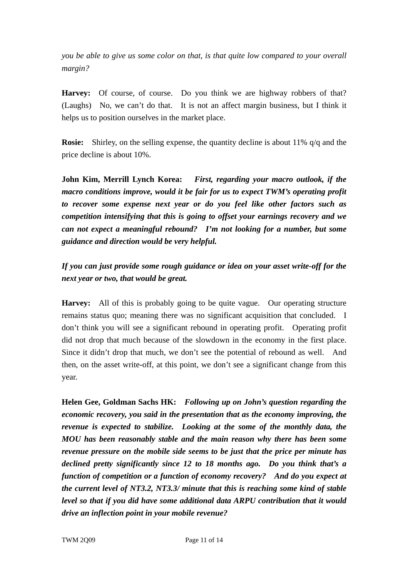*you be able to give us some color on that, is that quite low compared to your overall margin?*

**Harvey:** Of course, of course. Do you think we are highway robbers of that? (Laughs) No, we can't do that. It is not an affect margin business, but I think it helps us to position ourselves in the market place.

**Rosie:** Shirley, on the selling expense, the quantity decline is about 11% q/q and the price decline is about 10%.

**John Kim, Merrill Lynch Korea:** *First, regarding your macro outlook, if the macro conditions improve, would it be fair for us to expect TWM's operating profit to recover some expense next year or do you feel like other factors such as competition intensifying that this is going to offset your earnings recovery and we can not expect a meaningful rebound? I'm not looking for a number, but some guidance and direction would be very helpful.* 

*If you can just provide some rough guidance or idea on your asset write-off for the next year or two, that would be great.* 

**Harvey:** All of this is probably going to be quite vague. Our operating structure remains status quo; meaning there was no significant acquisition that concluded. I don't think you will see a significant rebound in operating profit. Operating profit did not drop that much because of the slowdown in the economy in the first place. Since it didn't drop that much, we don't see the potential of rebound as well. And then, on the asset write-off, at this point, we don't see a significant change from this year.

**Helen Gee, Goldman Sachs HK:** *Following up on John's question regarding the economic recovery, you said in the presentation that as the economy improving, the revenue is expected to stabilize. Looking at the some of the monthly data, the MOU has been reasonably stable and the main reason why there has been some revenue pressure on the mobile side seems to be just that the price per minute has declined pretty significantly since 12 to 18 months ago. Do you think that's a function of competition or a function of economy recovery? And do you expect at the current level of NT3.2, NT3.3/ minute that this is reaching some kind of stable level so that if you did have some additional data ARPU contribution that it would drive an inflection point in your mobile revenue?*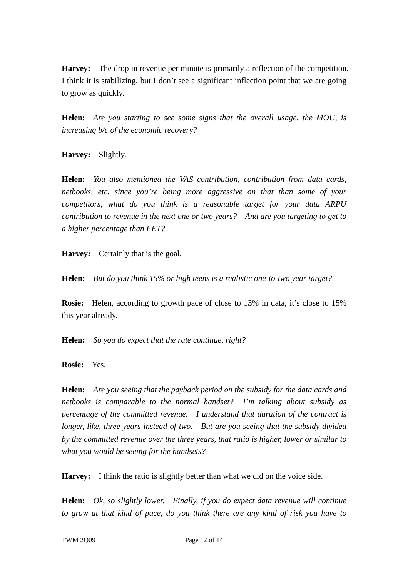**Harvey:** The drop in revenue per minute is primarily a reflection of the competition. I think it is stabilizing, but I don't see a significant inflection point that we are going to grow as quickly.

**Helen:** *Are you starting to see some signs that the overall usage, the MOU, is increasing b/c of the economic recovery?*

**Harvey:** Slightly.

**Helen:** *You also mentioned the VAS contribution, contribution from data cards, netbooks, etc. since you're being more aggressive on that than some of your competitors, what do you think is a reasonable target for your data ARPU contribution to revenue in the next one or two years? And are you targeting to get to a higher percentage than FET?*

**Harvey:** Certainly that is the goal.

**Helen:** *But do you think 15% or high teens is a realistic one-to-two year target?*

**Rosie:** Helen, according to growth pace of close to 13% in data, it's close to 15% this year already.

**Helen:** *So you do expect that the rate continue, right?*

**Rosie:** Yes.

**Helen:** *Are you seeing that the payback period on the subsidy for the data cards and netbooks is comparable to the normal handset? I'm talking about subsidy as percentage of the committed revenue. I understand that duration of the contract is longer, like, three years instead of two. But are you seeing that the subsidy divided by the committed revenue over the three years, that ratio is higher, lower or similar to what you would be seeing for the handsets?*

**Harvey:** I think the ratio is slightly better than what we did on the voice side.

**Helen:** *Ok, so slightly lower. Finally, if you do expect data revenue will continue to grow at that kind of pace, do you think there are any kind of risk you have to*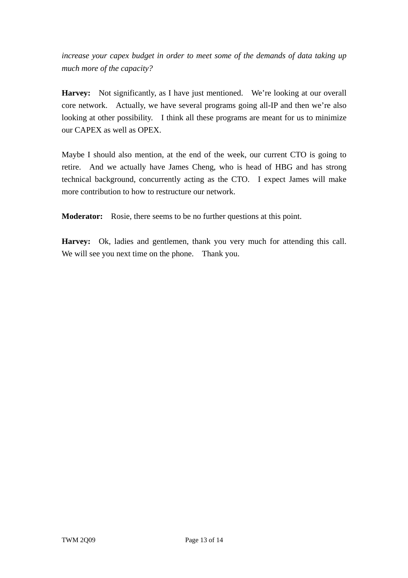*increase your capex budget in order to meet some of the demands of data taking up much more of the capacity?*

**Harvey:** Not significantly, as I have just mentioned. We're looking at our overall core network. Actually, we have several programs going all-IP and then we're also looking at other possibility. I think all these programs are meant for us to minimize our CAPEX as well as OPEX.

Maybe I should also mention, at the end of the week, our current CTO is going to retire. And we actually have James Cheng, who is head of HBG and has strong technical background, concurrently acting as the CTO. I expect James will make more contribution to how to restructure our network.

**Moderator:** Rosie, there seems to be no further questions at this point.

**Harvey:** Ok, ladies and gentlemen, thank you very much for attending this call. We will see you next time on the phone. Thank you.